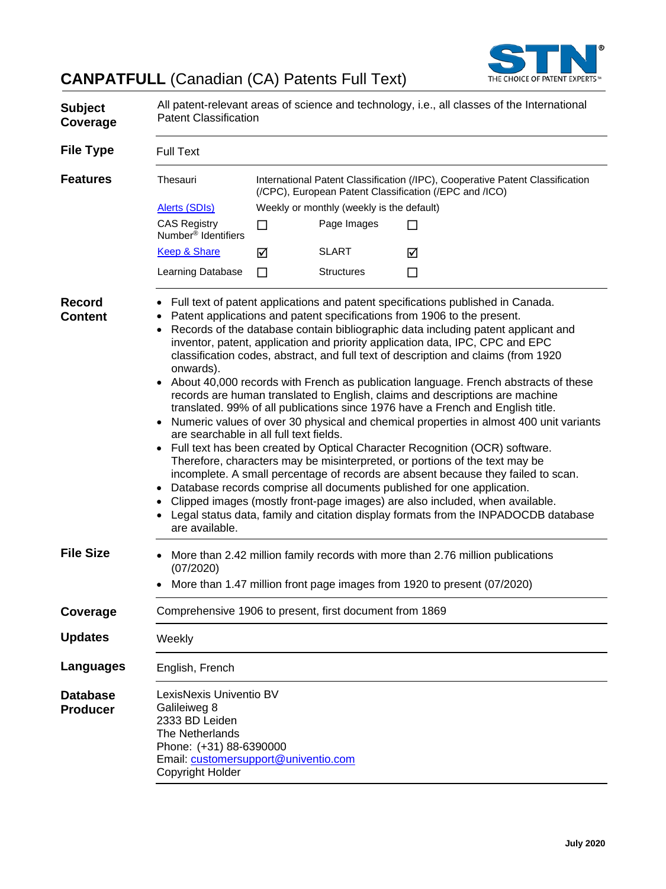

# **CANPATFULL** (Canadian (CA) Patents Full Text)

| <b>Subject</b><br>Coverage         | All patent-relevant areas of science and technology, i.e., all classes of the International<br><b>Patent Classification</b>                                                                                                                                                                                                                                                                                                                                                                                                                                                                                                                                                                                                                                                                                                                                                                                                                                                                                                                                                                                                                                                                                                                                                                                                                                                                                           |                                           |                   |                                                                                                                                                           |  |  |
|------------------------------------|-----------------------------------------------------------------------------------------------------------------------------------------------------------------------------------------------------------------------------------------------------------------------------------------------------------------------------------------------------------------------------------------------------------------------------------------------------------------------------------------------------------------------------------------------------------------------------------------------------------------------------------------------------------------------------------------------------------------------------------------------------------------------------------------------------------------------------------------------------------------------------------------------------------------------------------------------------------------------------------------------------------------------------------------------------------------------------------------------------------------------------------------------------------------------------------------------------------------------------------------------------------------------------------------------------------------------------------------------------------------------------------------------------------------------|-------------------------------------------|-------------------|-----------------------------------------------------------------------------------------------------------------------------------------------------------|--|--|
| <b>File Type</b>                   | <b>Full Text</b>                                                                                                                                                                                                                                                                                                                                                                                                                                                                                                                                                                                                                                                                                                                                                                                                                                                                                                                                                                                                                                                                                                                                                                                                                                                                                                                                                                                                      |                                           |                   |                                                                                                                                                           |  |  |
| <b>Features</b>                    | Thesauri                                                                                                                                                                                                                                                                                                                                                                                                                                                                                                                                                                                                                                                                                                                                                                                                                                                                                                                                                                                                                                                                                                                                                                                                                                                                                                                                                                                                              |                                           |                   | International Patent Classification (/IPC), Cooperative Patent Classification<br>(/CPC), European Patent Classification (/EPC and /ICO)                   |  |  |
|                                    | <b>Alerts (SDIs)</b>                                                                                                                                                                                                                                                                                                                                                                                                                                                                                                                                                                                                                                                                                                                                                                                                                                                                                                                                                                                                                                                                                                                                                                                                                                                                                                                                                                                                  | Weekly or monthly (weekly is the default) |                   |                                                                                                                                                           |  |  |
|                                    | <b>CAS Registry</b><br>Number <sup>®</sup> Identifiers                                                                                                                                                                                                                                                                                                                                                                                                                                                                                                                                                                                                                                                                                                                                                                                                                                                                                                                                                                                                                                                                                                                                                                                                                                                                                                                                                                | П                                         | Page Images       | ΙI                                                                                                                                                        |  |  |
|                                    | <b>Keep &amp; Share</b>                                                                                                                                                                                                                                                                                                                                                                                                                                                                                                                                                                                                                                                                                                                                                                                                                                                                                                                                                                                                                                                                                                                                                                                                                                                                                                                                                                                               | ☑                                         | <b>SLART</b>      | ☑                                                                                                                                                         |  |  |
|                                    | Learning Database                                                                                                                                                                                                                                                                                                                                                                                                                                                                                                                                                                                                                                                                                                                                                                                                                                                                                                                                                                                                                                                                                                                                                                                                                                                                                                                                                                                                     | П                                         | <b>Structures</b> | □                                                                                                                                                         |  |  |
| <b>Record</b><br><b>Content</b>    | Full text of patent applications and patent specifications published in Canada.<br>Patent applications and patent specifications from 1906 to the present.<br>Records of the database contain bibliographic data including patent applicant and<br>$\bullet$<br>inventor, patent, application and priority application data, IPC, CPC and EPC<br>classification codes, abstract, and full text of description and claims (from 1920<br>onwards).<br>About 40,000 records with French as publication language. French abstracts of these<br>$\bullet$<br>records are human translated to English, claims and descriptions are machine<br>translated. 99% of all publications since 1976 have a French and English title.<br>Numeric values of over 30 physical and chemical properties in almost 400 unit variants<br>$\bullet$<br>are searchable in all full text fields.<br>Full text has been created by Optical Character Recognition (OCR) software.<br>٠<br>Therefore, characters may be misinterpreted, or portions of the text may be<br>incomplete. A small percentage of records are absent because they failed to scan.<br>Database records comprise all documents published for one application.<br>$\bullet$<br>Clipped images (mostly front-page images) are also included, when available.<br>٠<br>Legal status data, family and citation display formats from the INPADOCDB database<br>are available. |                                           |                   |                                                                                                                                                           |  |  |
| <b>File Size</b>                   | $\bullet$<br>(07/2020)<br>$\bullet$                                                                                                                                                                                                                                                                                                                                                                                                                                                                                                                                                                                                                                                                                                                                                                                                                                                                                                                                                                                                                                                                                                                                                                                                                                                                                                                                                                                   |                                           |                   | More than 2.42 million family records with more than 2.76 million publications<br>More than 1.47 million front page images from 1920 to present (07/2020) |  |  |
| Coverage                           | Comprehensive 1906 to present, first document from 1869                                                                                                                                                                                                                                                                                                                                                                                                                                                                                                                                                                                                                                                                                                                                                                                                                                                                                                                                                                                                                                                                                                                                                                                                                                                                                                                                                               |                                           |                   |                                                                                                                                                           |  |  |
| <b>Updates</b>                     | Weekly                                                                                                                                                                                                                                                                                                                                                                                                                                                                                                                                                                                                                                                                                                                                                                                                                                                                                                                                                                                                                                                                                                                                                                                                                                                                                                                                                                                                                |                                           |                   |                                                                                                                                                           |  |  |
| Languages                          | English, French                                                                                                                                                                                                                                                                                                                                                                                                                                                                                                                                                                                                                                                                                                                                                                                                                                                                                                                                                                                                                                                                                                                                                                                                                                                                                                                                                                                                       |                                           |                   |                                                                                                                                                           |  |  |
| <b>Database</b><br><b>Producer</b> | LexisNexis Univentio BV<br>Galileiweg 8<br>2333 BD Leiden<br>The Netherlands<br>Phone: (+31) 88-6390000<br>Email: customersupport@univentio.com<br>Copyright Holder                                                                                                                                                                                                                                                                                                                                                                                                                                                                                                                                                                                                                                                                                                                                                                                                                                                                                                                                                                                                                                                                                                                                                                                                                                                   |                                           |                   |                                                                                                                                                           |  |  |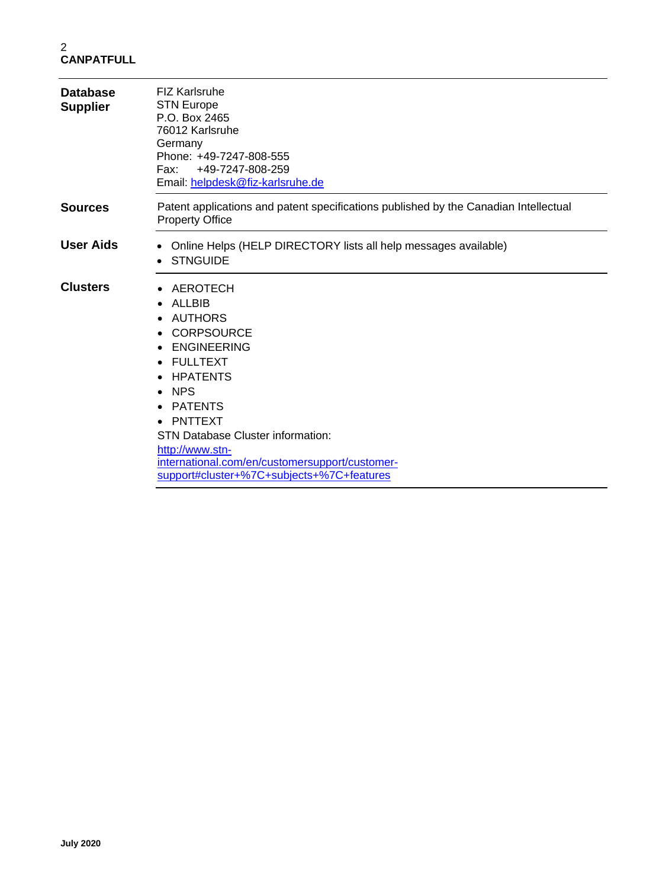| <b>Database</b><br><b>Supplier</b> | <b>FIZ Karlsruhe</b><br><b>STN Europe</b><br>P.O. Box 2465<br>76012 Karlsruhe<br>Germany<br>Phone: +49-7247-808-555<br>Fax: +49-7247-808-259<br>Email: helpdesk@fiz-karlsruhe.de                                                                                                                                            |
|------------------------------------|-----------------------------------------------------------------------------------------------------------------------------------------------------------------------------------------------------------------------------------------------------------------------------------------------------------------------------|
| <b>Sources</b>                     | Patent applications and patent specifications published by the Canadian Intellectual<br><b>Property Office</b>                                                                                                                                                                                                              |
| <b>User Aids</b>                   | Online Helps (HELP DIRECTORY lists all help messages available)<br><b>STNGUIDE</b>                                                                                                                                                                                                                                          |
| <b>Clusters</b>                    | AEROTECH<br><b>ALLBIB</b><br>AUTHORS<br><b>CORPSOURCE</b><br><b>ENGINEERING</b><br>• FULLTEXT<br><b>HPATENTS</b><br><b>NPS</b><br><b>PATENTS</b><br>• PNTTEXT<br><b>STN Database Cluster information:</b><br>http://www.stn-<br>international.com/en/customersupport/customer-<br>support#cluster+%7C+subjects+%7C+features |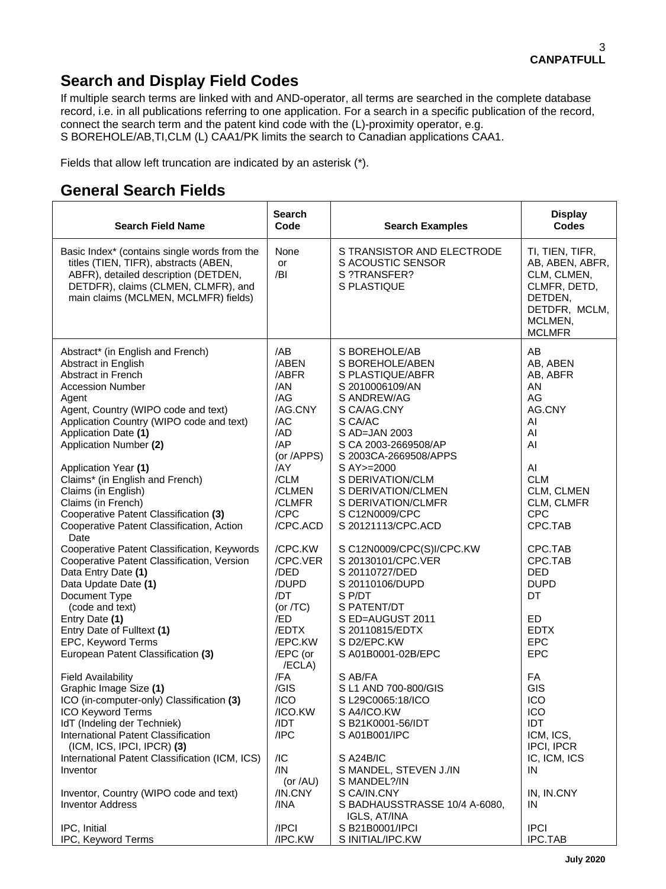## **Search and Display Field Codes**

If multiple search terms are linked with and AND-operator, all terms are searched in the complete database record, i.e. in all publications referring to one application. For a search in a specific publication of the record, connect the search term and the patent kind code with the (L)-proximity operator, e.g. S BOREHOLE/AB,TI,CLM (L) CAA1/PK limits the search to Canadian applications CAA1.

Fields that allow left truncation are indicated by an asterisk (\*).

### **General Search Fields**

| <b>Search Field Name</b>                                                                                                                                                                                                                                                                                                                                                                                                                                      | <b>Search</b><br>Code                                                                                                                    | <b>Search Examples</b>                                                                                                                                                                                                                                                                                   | <b>Display</b><br><b>Codes</b>                                                                                                              |
|---------------------------------------------------------------------------------------------------------------------------------------------------------------------------------------------------------------------------------------------------------------------------------------------------------------------------------------------------------------------------------------------------------------------------------------------------------------|------------------------------------------------------------------------------------------------------------------------------------------|----------------------------------------------------------------------------------------------------------------------------------------------------------------------------------------------------------------------------------------------------------------------------------------------------------|---------------------------------------------------------------------------------------------------------------------------------------------|
| Basic Index* (contains single words from the<br>titles (TIEN, TIFR), abstracts (ABEN,<br>ABFR), detailed description (DETDEN,<br>DETDFR), claims (CLMEN, CLMFR), and<br>main claims (MCLMEN, MCLMFR) fields)                                                                                                                                                                                                                                                  | None<br>or<br>/BI                                                                                                                        | S TRANSISTOR AND ELECTRODE<br>S ACOUSTIC SENSOR<br>S ?TRANSFER?<br>S PLASTIQUE                                                                                                                                                                                                                           | TI, TIEN, TIFR,<br>AB, ABEN, ABFR,<br>CLM, CLMEN,<br>CLMFR, DETD,<br>DETDEN,<br>DETDFR, MCLM,<br>MCLMEN,<br><b>MCLMFR</b>                   |
| Abstract* (in English and French)<br>Abstract in English<br>Abstract in French<br><b>Accession Number</b><br>Agent<br>Agent, Country (WIPO code and text)<br>Application Country (WIPO code and text)<br>Application Date (1)<br>Application Number (2)<br>Application Year (1)<br>Claims* (in English and French)<br>Claims (in English)<br>Claims (in French)<br>Cooperative Patent Classification (3)<br>Cooperative Patent Classification, Action<br>Date | /AB<br>/ABEN<br>/ABFR<br>/AN<br>/AG<br>/AG.CNY<br>/AC<br>/AD<br>/AP<br>(or /APPS)<br>/AY<br>/CLM<br>/CLMEN<br>/CLMFR<br>/CPC<br>/CPC.ACD | S BOREHOLE/AB<br>S BOREHOLE/ABEN<br>S PLASTIQUE/ABFR<br>S 2010006109/AN<br>S ANDREW/AG<br>S CA/AG.CNY<br>S CA/AC<br>S AD=JAN 2003<br>S CA 2003-2669508/AP<br>S 2003CA-2669508/APPS<br>S AY>=2000<br>S DERIVATION/CLM<br>S DERIVATION/CLMEN<br>S DERIVATION/CLMFR<br>S C12N0009/CPC<br>S 20121113/CPC.ACD | AB<br>AB, ABEN<br>AB, ABFR<br>AN<br>AG<br>AG.CNY<br>AI<br>AI<br>AI<br>AI<br><b>CLM</b><br>CLM, CLMEN<br>CLM, CLMFR<br><b>CPC</b><br>CPC.TAB |
| Cooperative Patent Classification, Keywords<br>Cooperative Patent Classification, Version<br>Data Entry Date (1)<br>Data Update Date (1)<br>Document Type<br>(code and text)<br>Entry Date (1)<br>Entry Date of Fulltext (1)<br>EPC, Keyword Terms                                                                                                                                                                                                            | /CPC.KW<br>/CPC.VER<br>/DED<br>/DUPD<br>/DT<br>(or $/TC$ )<br>/ED<br>/EDTX<br>/EPC.KW                                                    | S C12N0009/CPC(S)I/CPC.KW<br>S 20130101/CPC.VER<br>S 20110727/DED<br>S 20110106/DUPD<br>S P/DT<br>S PATENT/DT<br>S ED=AUGUST 2011<br>S 20110815/EDTX<br>S D2/EPC.KW                                                                                                                                      | CPC.TAB<br>CPC.TAB<br><b>DED</b><br><b>DUPD</b><br>DT<br>ED<br><b>EDTX</b><br><b>EPC</b>                                                    |
| European Patent Classification (3)<br><b>Field Availability</b><br>Graphic Image Size (1)<br>ICO (in-computer-only) Classification (3)<br>ICO Keyword Terms<br>IdT (Indeling der Techniek)<br>International Patent Classification                                                                                                                                                                                                                             | /EPC (or<br>/ECLA)<br>/FA<br>/GIS<br>$/$ ICO<br>/ICO.KW<br>/IDT<br>/IPC                                                                  | S A01B0001-02B/EPC<br>S AB/FA<br>S L1 AND 700-800/GIS<br>S L29C0065:18/ICO<br>S A4/ICO.KW<br>S B21K0001-56/IDT<br>S A01B001/IPC                                                                                                                                                                          | <b>EPC</b><br>FA<br>GIS<br>ICO<br><b>ICO</b><br>IDT<br>ICM, ICS,                                                                            |
| $(ICM, ICS, IPCI, IPCR)$ $(3)$<br>International Patent Classification (ICM, ICS)<br>Inventor<br>Inventor, Country (WIPO code and text)<br><b>Inventor Address</b><br>IPC, Initial                                                                                                                                                                                                                                                                             | /IC<br>/IN<br>(or $/AU$ )<br>/IN.CNY<br>/INA<br>/IPCI                                                                                    | S A24B/IC<br>S MANDEL, STEVEN J./IN<br>S MANDEL?/IN<br>S CA/IN.CNY<br>S BADHAUSSTRASSE 10/4 A-6080,<br>IGLS, AT/INA<br>S B21B0001/IPCI                                                                                                                                                                   | <b>IPCI, IPCR</b><br>IC, ICM, ICS<br>IN<br>IN, IN.CNY<br>IN<br><b>IPCI</b>                                                                  |
| IPC, Keyword Terms                                                                                                                                                                                                                                                                                                                                                                                                                                            | /IPC.KW                                                                                                                                  | S INITIAL/IPC.KW                                                                                                                                                                                                                                                                                         | <b>IPC.TAB</b>                                                                                                                              |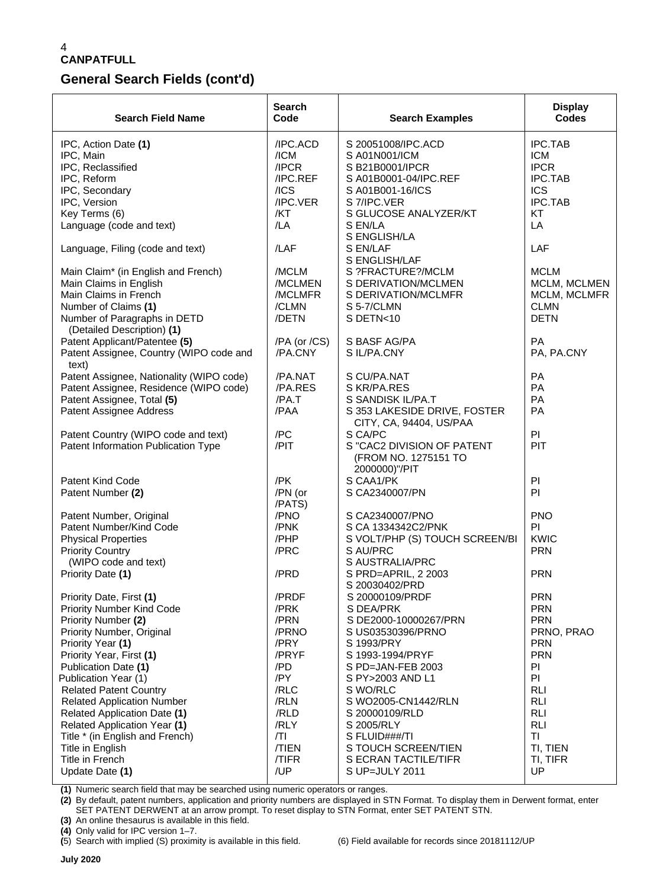### **CANPATFULL**

### **General Search Fields (cont'd)**

| <b>Search Field Name</b>                                   | <b>Search</b><br>Code | <b>Search Examples</b>                                              | <b>Display</b><br><b>Codes</b> |
|------------------------------------------------------------|-----------------------|---------------------------------------------------------------------|--------------------------------|
| IPC, Action Date (1)                                       | /IPC.ACD              | S 20051008/IPC.ACD                                                  | <b>IPC.TAB</b>                 |
| IPC, Main                                                  | /ICM                  | S A01N001/ICM                                                       | <b>ICM</b>                     |
| IPC, Reclassified                                          | /IPCR                 | S B21B0001/IPCR                                                     | <b>IPCR</b>                    |
| IPC, Reform                                                | /IPC.REF              | S A01B0001-04/IPC.REF                                               | <b>IPC.TAB</b>                 |
| IPC, Secondary                                             | /ICS                  | S A01B001-16/ICS                                                    | <b>ICS</b>                     |
| IPC, Version                                               | /IPC.VER              | S 7/IPC.VER                                                         | <b>IPC.TAB</b>                 |
| Key Terms (6)                                              | /KT                   | S GLUCOSE ANALYZER/KT                                               | <b>KT</b>                      |
| Language (code and text)                                   | /IA                   | S EN/LA<br>S ENGLISH/LA                                             | LA                             |
| Language, Filing (code and text)                           | /LAF                  | S EN/LAF<br>S ENGLISH/LAF                                           | LAF                            |
| Main Claim* (in English and French)                        | /MCLM                 | S ?FRACTURE?/MCLM                                                   | <b>MCLM</b>                    |
| Main Claims in English                                     | /MCLMEN               | S DERIVATION/MCLMEN                                                 | MCLM, MCLMEN                   |
| Main Claims in French                                      | /MCLMFR               | S DERIVATION/MCLMFR                                                 | MCLM, MCLMFR                   |
| Number of Claims (1)                                       | /CLMN                 | S 5-7/CLMN                                                          | <b>CLMN</b>                    |
| Number of Paragraphs in DETD<br>(Detailed Description) (1) | /DETN                 | S DETN<10                                                           | <b>DETN</b>                    |
| Patent Applicant/Patentee (5)                              | /PA (or /CS)          | S BASF AG/PA                                                        | <b>PA</b>                      |
| Patent Assignee, Country (WIPO code and<br>text)           | /PA.CNY               | S IL/PA.CNY                                                         | PA, PA.CNY                     |
| Patent Assignee, Nationality (WIPO code)                   | /PA.NAT               | S CU/PA.NAT                                                         | <b>PA</b>                      |
| Patent Assignee, Residence (WIPO code)                     | /PA.RES               | S KR/PA.RES                                                         | <b>PA</b>                      |
| Patent Assignee, Total (5)                                 | /PA.T                 | S SANDISK IL/PA.T                                                   | PA                             |
| Patent Assignee Address                                    | /PAA                  | S 353 LAKESIDE DRIVE, FOSTER<br>CITY, CA, 94404, US/PAA             | <b>PA</b>                      |
| Patent Country (WIPO code and text)                        | /PC                   | S CA/PC                                                             | PI                             |
| Patent Information Publication Type                        | /PIT                  | S "CAC2 DIVISION OF PATENT<br>(FROM NO. 1275151 TO<br>2000000)"/PIT | PIT                            |
| Patent Kind Code                                           | /PK                   | S CAA1/PK                                                           | PI                             |
| Patent Number (2)                                          | /PN (or<br>/PATS)     | S CA2340007/PN                                                      | PI                             |
| Patent Number, Original                                    | /PNO                  | S CA2340007/PNO                                                     | <b>PNO</b>                     |
| Patent Number/Kind Code                                    | /PNK                  | S CA 1334342C2/PNK                                                  | PI                             |
| <b>Physical Properties</b>                                 | /PHP                  | S VOLT/PHP (S) TOUCH SCREEN/BI                                      | <b>KWIC</b>                    |
| <b>Priority Country</b>                                    | /PRC                  | S AU/PRC                                                            | <b>PRN</b>                     |
| (WIPO code and text)                                       |                       | S AUSTRALIA/PRC                                                     |                                |
| Priority Date (1)                                          | /PRD                  | S PRD=APRIL, 2 2003                                                 | <b>PRN</b>                     |
|                                                            |                       | S 20030402/PRD                                                      |                                |
| Priority Date, First (1)                                   | /PRDF                 | S 20000109/PRDF                                                     | PRN                            |
| <b>Priority Number Kind Code</b>                           | /PRK                  | S DEA/PRK                                                           | <b>PRN</b>                     |
| Priority Number (2)                                        | /PRN                  | S DE2000-10000267/PRN                                               | <b>PRN</b>                     |
| Priority Number, Original                                  | /PRNO                 | S US03530396/PRNO                                                   | PRNO, PRAO                     |
| Priority Year (1)                                          | /PRY                  | S 1993/PRY                                                          | <b>PRN</b>                     |
| Priority Year, First (1)                                   | /PRYF                 | S 1993-1994/PRYF                                                    | <b>PRN</b>                     |
| Publication Date (1)                                       | /PD                   | S PD=JAN-FEB 2003                                                   | PI                             |
| Publication Year (1)                                       | /PY                   | S PY>2003 AND L1                                                    | PI                             |
| <b>Related Patent Country</b>                              | /RLC                  | S WO/RLC                                                            | <b>RLI</b>                     |
| <b>Related Application Number</b>                          | /RLN                  | S WO2005-CN1442/RLN                                                 | <b>RLI</b>                     |
| Related Application Date (1)                               | /RLD                  | S 20000109/RLD                                                      | <b>RLI</b>                     |
| Related Application Year (1)                               | /RLY                  | S 2005/RLY                                                          | <b>RLI</b>                     |
| Title * (in English and French)                            | /TI                   | S FLUID###/TI                                                       | TI                             |
| Title in English                                           | /TIEN                 | S TOUCH SCREEN/TIEN                                                 | TI, TIEN                       |
| Title in French                                            | /TIFR                 | S ECRAN TACTILE/TIFR                                                | TI, TIFR                       |
| Update Date (1)                                            | /UP                   | S UP=JULY 2011                                                      | UP                             |

**(1)** Numeric search field that may be searched using numeric operators or ranges.

**(2)** By default, patent numbers, application and priority numbers are displayed in STN Format. To display them in Derwent format, enter SET PATENT DERWENT at an arrow prompt. To reset display to STN Format, enter SET PATENT STN.

**(3)** An online thesaurus is available in this field.

**(4)** Only valid for IPC version 1–7.

**(**5) Search with implied (S) proximity is available in this field. (6) Field available for records since 20181112/UP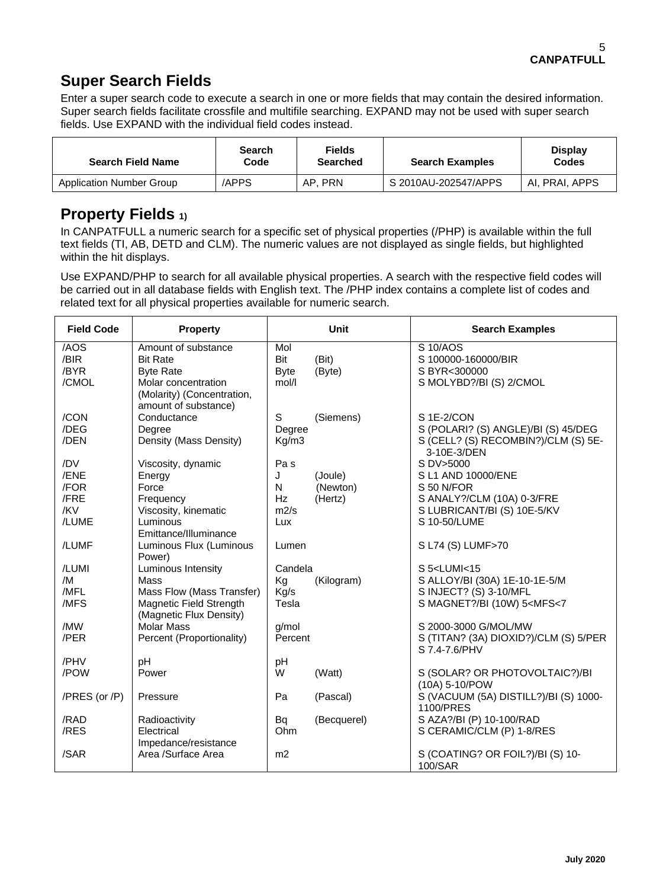# **Super Search Fields**

Enter a super search code to execute a search in one or more fields that may contain the desired information. Super search fields facilitate crossfile and multifile searching. EXPAND may not be used with super search fields. Use EXPAND with the individual field codes instead.

| <b>Search Field Name</b>        | Search<br>Code | <b>Fields</b><br>Searched | <b>Search Examples</b> | <b>Display</b><br><b>Codes</b> |
|---------------------------------|----------------|---------------------------|------------------------|--------------------------------|
| <b>Application Number Group</b> | /APPS          | AP. PRN                   | S 2010AU-202547/APPS   | AI, PRAI, APPS                 |

## **Property Fields 1)**

In CANPATFULL a numeric search for a specific set of physical properties (/PHP) is available within the full text fields (TI, AB, DETD and CLM). The numeric values are not displayed as single fields, but highlighted within the hit displays.

Use EXPAND/PHP to search for all available physical properties. A search with the respective field codes will be carried out in all database fields with English text. The /PHP index contains a complete list of codes and related text for all physical properties available for numeric search.

| <b>Field Code</b> | <b>Property</b>                                                           |                 | <b>Unit</b> | <b>Search Examples</b>                                 |
|-------------------|---------------------------------------------------------------------------|-----------------|-------------|--------------------------------------------------------|
| /AOS<br>/BIR      | Amount of substance<br><b>Bit Rate</b>                                    | Mol<br>Bit      | (Bit)       | S 10/AOS<br>S 100000-160000/BIR                        |
| /BYR              | <b>Byte Rate</b>                                                          | <b>Byte</b>     | (Byte)      | S BYR<300000                                           |
| /CMOL             | Molar concentration<br>(Molarity) (Concentration,<br>amount of substance) | mol/l           |             | S MOLYBD?/BI (S) 2/CMOL                                |
| /CON              | Conductance                                                               | S               | (Siemens)   | S 1E-2/CON                                             |
| /DEG              | Degree                                                                    | Degree          |             | S (POLARI? (S) ANGLE)/BI (S) 45/DEG                    |
| /DEN              | Density (Mass Density)                                                    | Kg/m3           |             | S (CELL? (S) RECOMBIN?)/CLM (S) 5E-<br>3-10E-3/DEN     |
| /DV               | Viscosity, dynamic                                                        | Pa <sub>s</sub> |             | S DV>5000                                              |
| /ENE              | Energy                                                                    | J               | (Joule)     | S L1 AND 10000/ENE                                     |
| /FOR              | Force                                                                     | N               | (Newton)    | S 50 N/FOR                                             |
| /FRE              | Frequency                                                                 | Hz              | (Hertz)     | S ANALY?/CLM (10A) 0-3/FRE                             |
| /KV<br>/LUME      | Viscosity, kinematic<br>Luminous                                          | m2/s            |             | S LUBRICANT/BI (S) 10E-5/KV<br>S 10-50/LUME            |
|                   | Emittance/Illuminance                                                     | Lux             |             |                                                        |
| /LUMF             | Luminous Flux (Luminous<br>Power)                                         | Lumen           |             | S L74 (S) LUMF>70                                      |
| /LUMI             | Luminous Intensity                                                        | Candela         |             | $S$ 5 <lumi<15< td=""></lumi<15<>                      |
| /M                | Mass                                                                      | Kg              | (Kilogram)  | S ALLOY/BI (30A) 1E-10-1E-5/M                          |
| /MFL              | Mass Flow (Mass Transfer)                                                 | Kg/s            |             | S INJECT? (S) 3-10/MFL                                 |
| /MFS              | Magnetic Field Strength<br>(Magnetic Flux Density)                        | Tesla           |             | S MAGNET?/BI (10W) 5 <mfs<7< td=""></mfs<7<>           |
| /MW               | <b>Molar Mass</b>                                                         | g/mol           |             | S 2000-3000 G/MOL/MW                                   |
| /PER              | Percent (Proportionality)                                                 | Percent         |             | S (TITAN? (3A) DIOXID?)/CLM (S) 5/PER<br>S 7.4-7.6/PHV |
| /PHV              | рH                                                                        | рH              |             |                                                        |
| /POW              | Power                                                                     | W               | (Watt)      | S (SOLAR? OR PHOTOVOLTAIC?)/BI<br>(10A) 5-10/POW       |
| /PRES (or /P)     | Pressure                                                                  | Pa              | (Pascal)    | S (VACUUM (5A) DISTILL?)/BI (S) 1000-<br>1100/PRES     |
| /RAD              | Radioactivity                                                             | Bq              | (Becquerel) | S AZA?/BI (P) 10-100/RAD                               |
| /RES              | Electrical                                                                | Ohm             |             | S CERAMIC/CLM (P) 1-8/RES                              |
|                   | Impedance/resistance                                                      |                 |             |                                                        |
| /SAR              | Area /Surface Area                                                        | m <sub>2</sub>  |             | S (COATING? OR FOIL?)/BI (S) 10-<br>100/SAR            |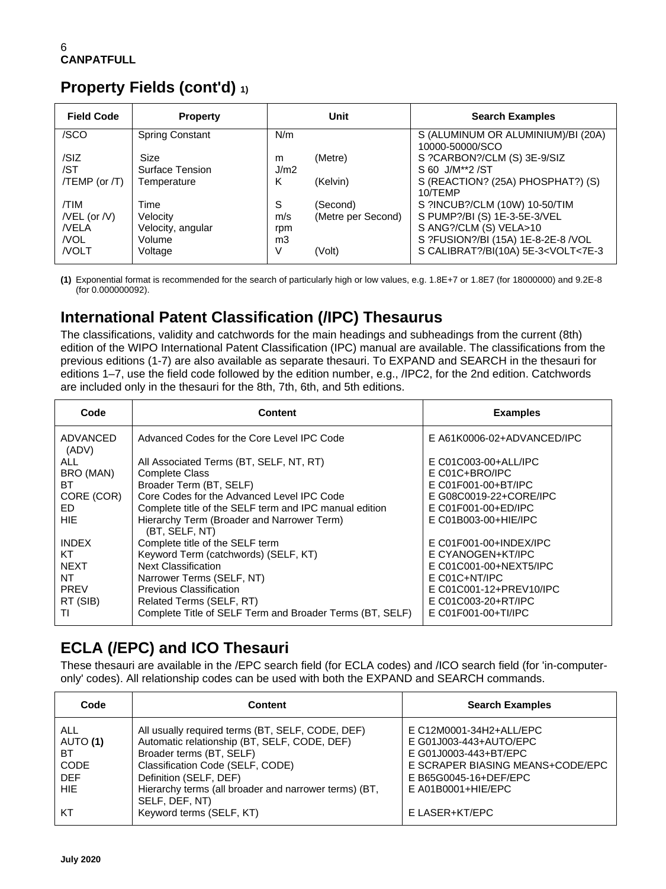# **Property Fields (cont'd) 1)**

| <b>Field Code</b>  | <b>Property</b>        |      | Unit               | <b>Search Examples</b>                                   |
|--------------------|------------------------|------|--------------------|----------------------------------------------------------|
| /SCO               | <b>Spring Constant</b> | N/m  |                    | S (ALUMINUM OR ALUMINIUM)/BI (20A)<br>10000-50000/SCO    |
| /SIZ               | Size                   | m    | (Metre)            | S ?CARBON?/CLM (S) 3E-9/SIZ                              |
| /ST                | Surface Tension        | J/m2 |                    | S 60 J/M**2 /ST                                          |
| $/TEMP$ (or $/T$ ) | Temperature            | K    | (Kelvin)           | S (REACTION? (25A) PHOSPHAT?) (S)<br>10/TFMP             |
| /TIM               | Time                   | S    | (Second)           | S ?INCUB?/CLM (10W) 10-50/TIM                            |
| $/$ VEL (or $/$ V) | Velocity               | m/s  | (Metre per Second) | S PUMP?/BI (S) 1E-3-5E-3/VEL                             |
| <b>NELA</b>        | Velocity, angular      | rpm  |                    | S ANG?/CLM (S) VELA>10                                   |
| <b>NOL</b>         | Volume                 | m3   |                    | S ?FUSION?/BI (15A) 1E-8-2E-8 /VOL                       |
| <b>NOLT</b>        | Voltage                | V    | (Volt)             | S CALIBRAT?/BI(10A) 5E-3 <volt<7e-3< td=""></volt<7e-3<> |

**(1)** Exponential format is recommended for the search of particularly high or low values, e.g. 1.8E+7 or 1.8E7 (for 18000000) and 9.2E-8 (for 0.000000092).

## **International Patent Classification (/IPC) Thesaurus**

The classifications, validity and catchwords for the main headings and subheadings from the current (8th) edition of the WIPO International Patent Classification (IPC) manual are available. The classifications from the previous editions (1-7) are also available as separate thesauri. To EXPAND and SEARCH in the thesauri for editions 1–7, use the field code followed by the edition number, e.g., /IPC2, for the 2nd edition. Catchwords are included only in the thesauri for the 8th, 7th, 6th, and 5th editions.

| Code              | <b>Content</b>                                               | <b>Examples</b>            |
|-------------------|--------------------------------------------------------------|----------------------------|
| ADVANCED<br>(ADV) | Advanced Codes for the Core Level IPC Code                   | E A61K0006-02+ADVANCED/IPC |
| ALL.              | All Associated Terms (BT, SELF, NT, RT)                      | $E CO1CO03-00+ALL/IPC$     |
| BRO (MAN)         | <b>Complete Class</b>                                        | E C01C+BRO/IPC             |
| BT.               | Broader Term (BT, SELF)                                      | E C01F001-00+BT/IPC        |
| CORE (COR)        | Core Codes for the Advanced Level IPC Code                   | E G08C0019-22+CORE/IPC     |
| ED.               | Complete title of the SELF term and IPC manual edition       | E C01F001-00+ED/IPC        |
| HIE.              | Hierarchy Term (Broader and Narrower Term)<br>(BT, SELF, NT) | E C01B003-00+HIE/IPC       |
| <b>INDEX</b>      | Complete title of the SELF term                              | $E$ C01F001-00+INDEX/IPC   |
| KT                | Keyword Term (catchwords) (SELF, KT)                         | E CYANOGEN+KT/IPC          |
| <b>NEXT</b>       | <b>Next Classification</b>                                   | E C01C001-00+NEXT5/IPC     |
| NT                | Narrower Terms (SELF, NT)                                    | $E$ C01C+NT/IPC            |
| <b>PREV</b>       | Previous Classification                                      | E C01C001-12+PREV10/IPC    |
| RT (SIB)          | Related Terms (SELF, RT)                                     | E C01C003-20+RT/IPC        |
| TI                | Complete Title of SELF Term and Broader Terms (BT, SELF)     | $E$ C01F001-00+TI/IPC      |

# **ECLA (/EPC) and ICO Thesauri**

These thesauri are available in the /EPC search field (for ECLA codes) and /ICO search field (for 'in-computeronly' codes). All relationship codes can be used with both the EXPAND and SEARCH commands.

| Code                                                      | <b>Content</b>                                                                                                                                                                                                                                                        | <b>Search Examples</b>                                                                                                                                          |
|-----------------------------------------------------------|-----------------------------------------------------------------------------------------------------------------------------------------------------------------------------------------------------------------------------------------------------------------------|-----------------------------------------------------------------------------------------------------------------------------------------------------------------|
| ALL<br>AUTO (1)<br>BT<br>CODE<br><b>DEF</b><br><b>HIE</b> | All usually required terms (BT, SELF, CODE, DEF)<br>Automatic relationship (BT, SELF, CODE, DEF)<br>Broader terms (BT, SELF)<br>Classification Code (SELF, CODE)<br>Definition (SELF, DEF)<br>Hierarchy terms (all broader and narrower terms) (BT,<br>SELF, DEF, NT) | E C12M0001-34H2+ALL/EPC<br>E G01J003-443+AUTO/EPC<br>E G01J0003-443+BT/EPC<br>E SCRAPER BIASING MEANS+CODE/EPC<br>E B65G0045-16+DEF/EPC<br>$E$ A01B0001+HIE/EPC |
| KT                                                        | Keyword terms (SELF, KT)                                                                                                                                                                                                                                              | E LASER+KT/EPC                                                                                                                                                  |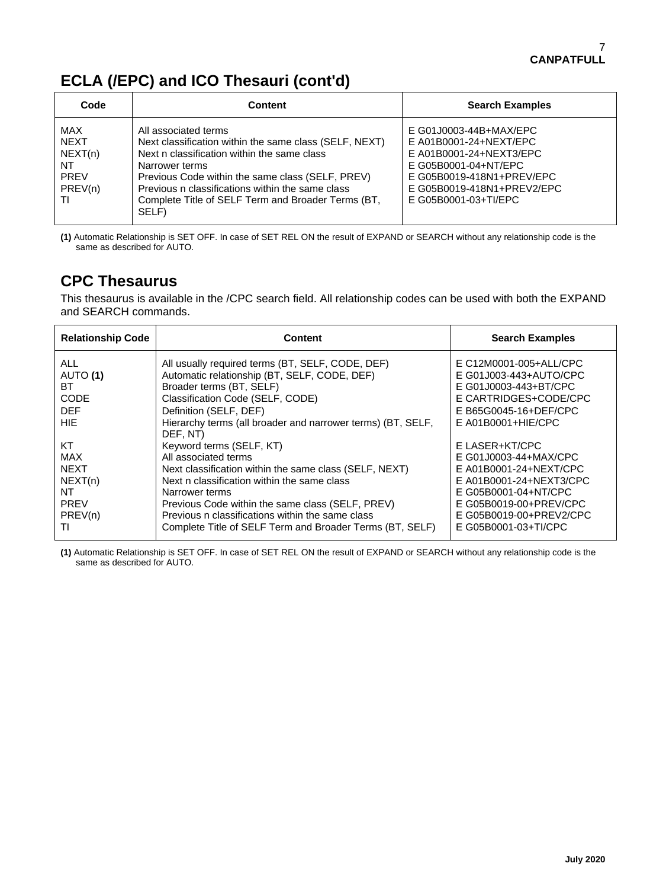# **ECLA (/EPC) and ICO Thesauri (cont'd)**

| Code                                                         | <b>Content</b>                                                                                                                                                                                                                                                                                                         | <b>Search Examples</b>                                                                                                                                                                 |
|--------------------------------------------------------------|------------------------------------------------------------------------------------------------------------------------------------------------------------------------------------------------------------------------------------------------------------------------------------------------------------------------|----------------------------------------------------------------------------------------------------------------------------------------------------------------------------------------|
| MAX<br><b>NEXT</b><br>NEXT(n)<br>NT<br>PREV<br>PREV(n)<br>ΤI | All associated terms<br>Next classification within the same class (SELF, NEXT)<br>Next n classification within the same class<br>Narrower terms<br>Previous Code within the same class (SELF, PREV)<br>Previous n classifications within the same class<br>Complete Title of SELF Term and Broader Terms (BT,<br>SELF) | E G01J0003-44B+MAX/EPC<br>E A01B0001-24+NEXT/EPC<br>E A01B0001-24+NEXT3/EPC<br>E G05B0001-04+NT/EPC<br>E G05B0019-418N1+PREV/EPC<br>E G05B0019-418N1+PREV2/EPC<br>E G05B0001-03+TI/EPC |

**(1)** Automatic Relationship is SET OFF. In case of SET REL ON the result of EXPAND or SEARCH without any relationship code is the same as described for AUTO.

### **CPC Thesaurus**

This thesaurus is available in the /CPC search field. All relationship codes can be used with both the EXPAND and SEARCH commands.

| <b>Relationship Code</b> | <b>Content</b>                                                                                    | <b>Search Examples</b>                        |
|--------------------------|---------------------------------------------------------------------------------------------------|-----------------------------------------------|
| ALL.                     | All usually required terms (BT, SELF, CODE, DEF)                                                  | E C12M0001-005+ALL/CPC                        |
| AUTO (1)                 | Automatic relationship (BT, SELF, CODE, DEF)                                                      | E G01J003-443+AUTO/CPC                        |
| ВT                       | Broader terms (BT, SELF)                                                                          | E G01J0003-443+BT/CPC                         |
| <b>CODE</b>              | Classification Code (SELF, CODE)                                                                  | E CARTRIDGES+CODE/CPC                         |
| <b>DFF</b><br>HIE.       | Definition (SELF, DEF)<br>Hierarchy terms (all broader and narrower terms) (BT, SELF,<br>DEF. NT) | E B65G0045-16+DEF/CPC<br>$E$ A01B0001+HIE/CPC |
| KT                       | Keyword terms (SELF, KT)                                                                          | E LASER+KT/CPC                                |
| <b>MAX</b>               | All associated terms                                                                              | E G01J0003-44+MAX/CPC                         |
| <b>NEXT</b>              | Next classification within the same class (SELF, NEXT)                                            | E A01B0001-24+NEXT/CPC                        |
| NEXT(n)                  | Next n classification within the same class                                                       | E A01B0001-24+NEXT3/CPC                       |
| ΝT                       | Narrower terms                                                                                    | E G05B0001-04+NT/CPC                          |
| <b>PREV</b>              | Previous Code within the same class (SELF, PREV)                                                  | E G05B0019-00+PREV/CPC                        |
| PREV(n)                  | Previous n classifications within the same class                                                  | E G05B0019-00+PREV2/CPC                       |
| TI                       | Complete Title of SELF Term and Broader Terms (BT, SELF)                                          | E G05B0001-03+TI/CPC                          |

**(1)** Automatic Relationship is SET OFF. In case of SET REL ON the result of EXPAND or SEARCH without any relationship code is the same as described for AUTO.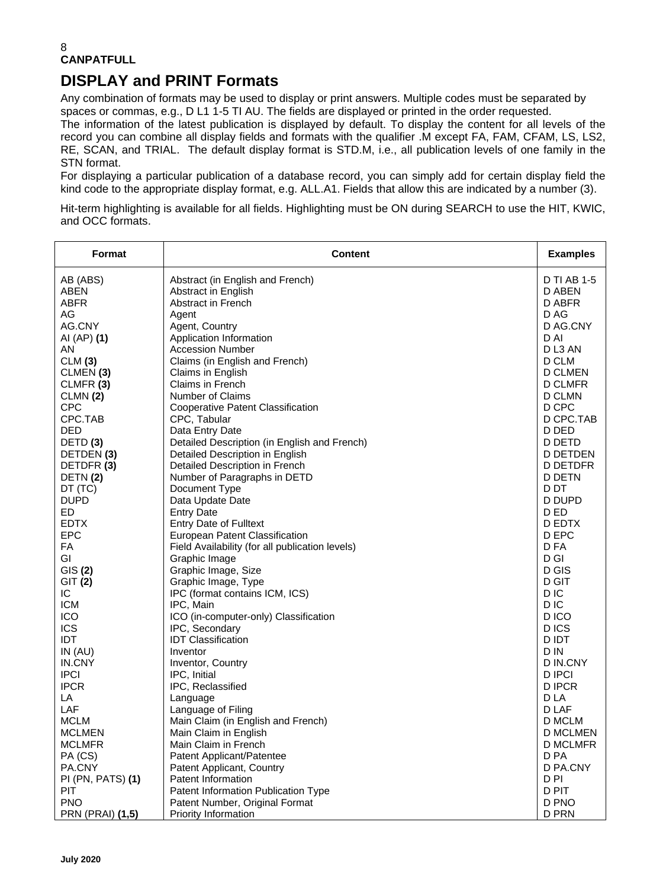# **DISPLAY and PRINT Formats**

Any combination of formats may be used to display or print answers. Multiple codes must be separated by spaces or commas, e.g., D L1 1-5 TI AU. The fields are displayed or printed in the order requested. The information of the latest publication is displayed by default. To display the content for all levels of the record you can combine all display fields and formats with the qualifier .M except FA, FAM, CFAM, LS, LS2, RE, SCAN, and TRIAL. The default display format is STD.M, i.e., all publication levels of one family in the STN format.

For displaying a particular publication of a database record, you can simply add for certain display field the kind code to the appropriate display format, e.g. ALL.A1. Fields that allow this are indicated by a number (3).

Hit-term highlighting is available for all fields. Highlighting must be ON during SEARCH to use the HIT, KWIC, and OCC formats.

| Format                | <b>Content</b>                                  | <b>Examples</b>    |
|-----------------------|-------------------------------------------------|--------------------|
| AB (ABS)              | Abstract (in English and French)                | <b>D TI AB 1-5</b> |
| <b>ABEN</b>           | Abstract in English                             | D ABEN             |
| <b>ABFR</b>           | <b>Abstract in French</b>                       | D ABFR             |
| AG                    | Agent                                           | D AG               |
| AG.CNY<br>AI (AP) (1) | Agent, Country<br>Application Information       | D AG.CNY<br>D AI   |
| AN.                   | <b>Accession Number</b>                         | DL3 AN             |
| CLM(3)                | Claims (in English and French)                  | D CLM              |
| CLMEN(3)              | Claims in English                               | <b>D CLMEN</b>     |
| CLMFR (3)             | <b>Claims in French</b>                         | <b>D CLMFR</b>     |
| CLMN(2)               | Number of Claims                                | D CLMN             |
| <b>CPC</b>            | <b>Cooperative Patent Classification</b>        | D CPC              |
| CPC.TAB               | CPC, Tabular                                    | D CPC.TAB          |
| <b>DED</b>            | Data Entry Date                                 | D DED              |
| DETD <sub>(3)</sub>   | Detailed Description (in English and French)    | D DETD             |
| DETDEN (3)            | Detailed Description in English                 | <b>D DETDEN</b>    |
| DETDFR (3)            | Detailed Description in French                  | <b>D DETDFR</b>    |
| DETN(2)               | Number of Paragraphs in DETD                    | <b>D DETN</b>      |
| DT (TC)               | Document Type                                   | D DT               |
| <b>DUPD</b>           | Data Update Date                                | D DUPD             |
| ED                    | <b>Entry Date</b>                               | D ED               |
| <b>EDTX</b>           | <b>Entry Date of Fulltext</b>                   | D EDTX             |
| <b>EPC</b>            | European Patent Classification                  | D EPC              |
| FA                    | Field Availability (for all publication levels) | D FA               |
| GI                    | Graphic Image                                   | D GI               |
| GIS(2)                | Graphic Image, Size                             | D GIS              |
| GIT (2)               | Graphic Image, Type                             | D GIT              |
| IC.                   | IPC (format contains ICM, ICS)                  | D IC               |
| <b>ICM</b>            | IPC, Main                                       | D <sub>IC</sub>    |
| <b>ICO</b>            | ICO (in-computer-only) Classification           | D ICO              |
| <b>ICS</b>            | IPC, Secondary                                  | D ICS              |
| <b>IDT</b>            | <b>IDT Classification</b><br>Inventor           | D IDT<br>D IN      |
| IN(AU)<br>IN.CNY      |                                                 | D IN.CNY           |
| <b>IPCI</b>           | Inventor, Country<br>IPC, Initial               | D IPCI             |
| <b>IPCR</b>           | IPC, Reclassified                               | <b>DIPCR</b>       |
| LA                    | Language                                        | D LA               |
| LAF                   | Language of Filing                              | D LAF              |
| <b>MCLM</b>           | Main Claim (in English and French)              | D MCLM             |
| <b>MCLMEN</b>         | Main Claim in English                           | D MCLMEN           |
| <b>MCLMFR</b>         | Main Claim in French                            | D MCLMFR           |
| PA (CS)               | Patent Applicant/Patentee                       | D PA               |
| PA.CNY                | Patent Applicant, Country                       | D PA.CNY           |
| PI (PN, PATS) (1)     | Patent Information                              | D PI               |
| PIT                   | Patent Information Publication Type             | D PIT              |
| <b>PNO</b>            | Patent Number, Original Format                  | D PNO              |
| PRN (PRAI) (1,5)      | Priority Information                            | <b>D PRN</b>       |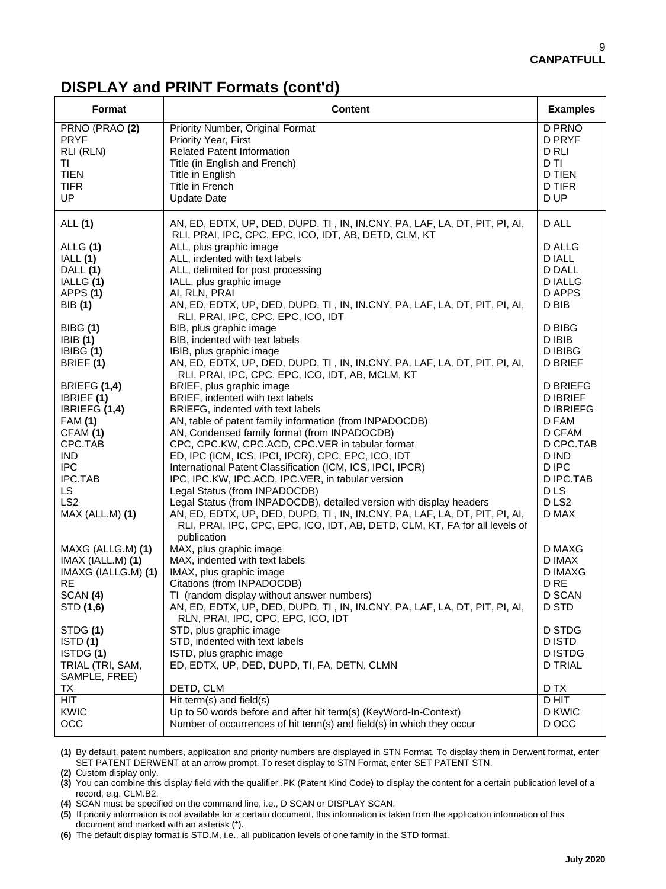### **DISPLAY and PRINT Formats (cont'd)**

| Format                                                                                                                                                                          | <b>Content</b>                                                                                                                                                                                                                                                                                                                                                                                                                                                                                                                                                                                                                                                                                                                 | <b>Examples</b>                                                                                                                                          |
|---------------------------------------------------------------------------------------------------------------------------------------------------------------------------------|--------------------------------------------------------------------------------------------------------------------------------------------------------------------------------------------------------------------------------------------------------------------------------------------------------------------------------------------------------------------------------------------------------------------------------------------------------------------------------------------------------------------------------------------------------------------------------------------------------------------------------------------------------------------------------------------------------------------------------|----------------------------------------------------------------------------------------------------------------------------------------------------------|
| PRNO (PRAO (2)<br><b>PRYF</b><br>RLI (RLN)<br>ΤI<br><b>TIEN</b><br><b>TIFR</b><br>UP                                                                                            | Priority Number, Original Format<br>Priority Year, First<br><b>Related Patent Information</b><br>Title (in English and French)<br>Title in English<br>Title in French<br><b>Update Date</b>                                                                                                                                                                                                                                                                                                                                                                                                                                                                                                                                    | D PRNO<br>D PRYF<br>D RLI<br>D TI<br><b>D TIEN</b><br><b>D TIFR</b><br>D UP                                                                              |
| <b>ALL</b> (1)                                                                                                                                                                  | AN, ED, EDTX, UP, DED, DUPD, TI, IN, IN.CNY, PA, LAF, LA, DT, PIT, PI, AI,<br>RLI, PRAI, IPC, CPC, EPC, ICO, IDT, AB, DETD, CLM, KT                                                                                                                                                                                                                                                                                                                                                                                                                                                                                                                                                                                            | D ALL                                                                                                                                                    |
| ALLG (1)<br>IALL (1)<br>DALL (1)<br>IALLG (1)<br>APPS (1)<br>BIB (1)                                                                                                            | ALL, plus graphic image<br>ALL, indented with text labels<br>ALL, delimited for post processing<br>IALL, plus graphic image<br>AI, RLN, PRAI<br>AN, ED, EDTX, UP, DED, DUPD, TI, IN, IN.CNY, PA, LAF, LA, DT, PIT, PI, AI,<br>RLI, PRAI, IPC, CPC, EPC, ICO, IDT                                                                                                                                                                                                                                                                                                                                                                                                                                                               | D ALLG<br><b>DIALL</b><br>D DALL<br><b>DIALLG</b><br>D APPS<br>D BIB                                                                                     |
| <b>BIBG</b> (1)<br><b>IBIB</b> (1)<br>IBIBG (1)<br>BRIEF (1)                                                                                                                    | BIB, plus graphic image<br>BIB, indented with text labels<br>IBIB, plus graphic image<br>AN, ED, EDTX, UP, DED, DUPD, TI, IN, IN.CNY, PA, LAF, LA, DT, PIT, PI, AI,<br>RLI, PRAI, IPC, CPC, EPC, ICO, IDT, AB, MCLM, KT                                                                                                                                                                                                                                                                                                                                                                                                                                                                                                        | D BIBG<br>D IBIB<br><b>DIBIBG</b><br><b>D BRIEF</b>                                                                                                      |
| <b>BRIEFG (1,4)</b><br>IBRIEF (1)<br>IBRIEFG (1,4)<br><b>FAM (1)</b><br>CFAM (1)<br>CPC.TAB<br><b>IND</b><br><b>IPC</b><br>IPC.TAB<br>LS.<br>LS <sub>2</sub><br>MAX (ALL.M) (1) | BRIEF, plus graphic image<br>BRIEF, indented with text labels<br>BRIEFG, indented with text labels<br>AN, table of patent family information (from INPADOCDB)<br>AN, Condensed family format (from INPADOCDB)<br>CPC, CPC.KW, CPC.ACD, CPC.VER in tabular format<br>ED, IPC (ICM, ICS, IPCI, IPCR), CPC, EPC, ICO, IDT<br>International Patent Classification (ICM, ICS, IPCI, IPCR)<br>IPC, IPC.KW, IPC.ACD, IPC.VER, in tabular version<br>Legal Status (from INPADOCDB)<br>Legal Status (from INPADOCDB), detailed version with display headers<br>AN, ED, EDTX, UP, DED, DUPD, TI, IN, IN.CNY, PA, LAF, LA, DT, PIT, PI, AI,<br>RLI, PRAI, IPC, CPC, EPC, ICO, IDT, AB, DETD, CLM, KT, FA for all levels of<br>publication | <b>D BRIEFG</b><br><b>DIBRIEF</b><br><b>DIBRIEFG</b><br>D FAM<br>D CFAM<br>D CPC.TAB<br>D IND<br>D IPC<br>D IPC.TAB<br>D LS<br>D <sub>LS2</sub><br>D MAX |
| MAXG (ALLG.M) (1)<br>IMAX (IALL.M) (1)<br>IMAXG (IALLG.M) (1)<br><b>RE</b><br>SCAN (4)<br>STD (1,6)<br>STDG (1)<br>ISTD(1)                                                      | MAX, plus graphic image<br>MAX, indented with text labels<br>IMAX, plus graphic image<br>Citations (from INPADOCDB)<br>TI (random display without answer numbers)<br>AN, ED, EDTX, UP, DED, DUPD, TI, IN, IN.CNY, PA, LAF, LA, DT, PIT, PI, AI,<br>RLN, PRAI, IPC, CPC, EPC, ICO, IDT<br>STD, plus graphic image<br>STD, indented with text labels                                                                                                                                                                                                                                                                                                                                                                             | D MAXG<br>D IMAX<br><b>D IMAXG</b><br>D <sub>RE</sub><br>D SCAN<br>D STD<br>D STDG<br>D ISTD                                                             |
| ISTDG (1)<br>TRIAL (TRI, SAM,<br>SAMPLE, FREE)<br>ТX                                                                                                                            | ISTD, plus graphic image<br>ED, EDTX, UP, DED, DUPD, TI, FA, DETN, CLMN<br>DETD, CLM                                                                                                                                                                                                                                                                                                                                                                                                                                                                                                                                                                                                                                           | <b>DISTDG</b><br><b>D TRIAL</b><br>D TX                                                                                                                  |
| <b>HIT</b><br><b>KWIC</b><br>OCC                                                                                                                                                | Hit term(s) and field(s)<br>Up to 50 words before and after hit term(s) (KeyWord-In-Context)<br>Number of occurrences of hit term(s) and field(s) in which they occur                                                                                                                                                                                                                                                                                                                                                                                                                                                                                                                                                          | D HIT<br>D KWIC<br>D OCC                                                                                                                                 |

**(1)** By default, patent numbers, application and priority numbers are displayed in STN Format. To display them in Derwent format, enter SET PATENT DERWENT at an arrow prompt. To reset display to STN Format, enter SET PATENT STN. **(2)** Custom display only.

**(3)** You can combine this display field with the qualifier .PK (Patent Kind Code) to display the content for a certain publication level of a record, e.g. CLM.B2.

**(4)** SCAN must be specified on the command line, i.e., D SCAN or DISPLAY SCAN.

**(5)** If priority information is not available for a certain document, this information is taken from the application information of this document and marked with an asterisk (\*).

**(6)** The default display format is STD.M, i.e., all publication levels of one family in the STD format.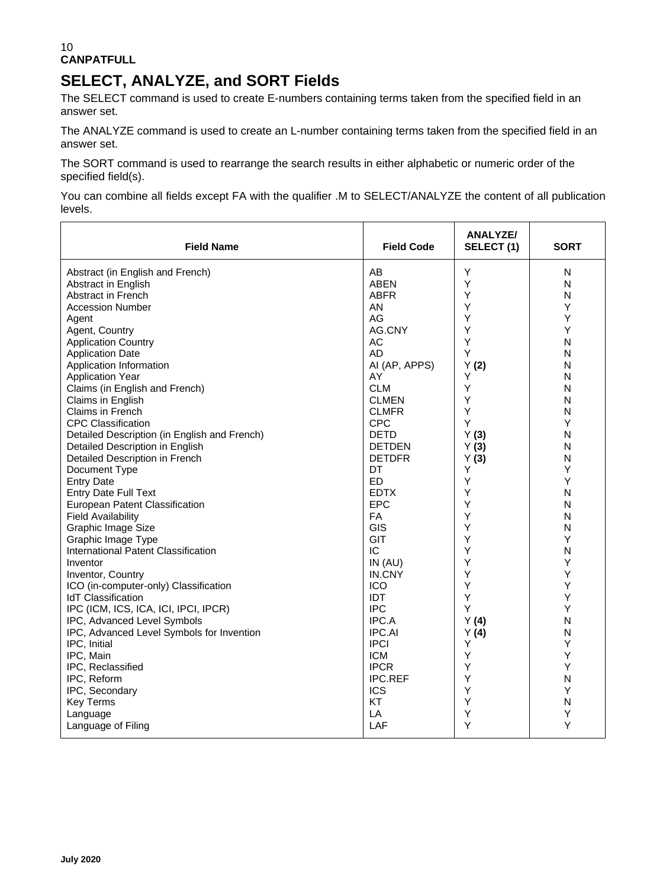### 10 **CANPATFULL**

# **SELECT, ANALYZE, and SORT Fields**

The SELECT command is used to create E-numbers containing terms taken from the specified field in an answer set.

The ANALYZE command is used to create an L-number containing terms taken from the specified field in an answer set.

The SORT command is used to rearrange the search results in either alphabetic or numeric order of the specified field(s).

You can combine all fields except FA with the qualifier .M to SELECT/ANALYZE the content of all publication levels.

| <b>Field Name</b>                            | <b>Field Code</b> | ANALYZE/<br>SELECT (1) | <b>SORT</b>  |
|----------------------------------------------|-------------------|------------------------|--------------|
| Abstract (in English and French)             | AB                | Υ                      | N            |
| Abstract in English                          | <b>ABEN</b>       | Υ                      | $\mathsf{N}$ |
| <b>Abstract in French</b>                    | <b>ABFR</b>       | Y                      | N            |
| Accession Number                             | AN                | Υ                      | Υ            |
| Agent                                        | AG                | Y                      | Υ            |
| Agent, Country                               | AG.CNY            | Y                      | Y            |
| <b>Application Country</b>                   | AC                | Y                      | N            |
| <b>Application Date</b>                      | <b>AD</b>         | Y                      | N            |
| Application Information                      | AI (AP, APPS)     | Y(2)                   | N            |
| <b>Application Year</b>                      | AY                | Υ                      | N            |
| Claims (in English and French)               | <b>CLM</b>        | Y                      | N            |
| Claims in English                            | <b>CLMEN</b>      | Υ                      | N            |
| Claims in French                             | <b>CLMFR</b>      | Υ                      | N            |
| <b>CPC Classification</b>                    | <b>CPC</b>        | Υ                      | Y            |
| Detailed Description (in English and French) | <b>DETD</b>       | Y(3)                   | $\mathsf{N}$ |
| Detailed Description in English              | <b>DETDEN</b>     | Y(3)                   | N            |
| Detailed Description in French               | <b>DETDFR</b>     | Y(3)                   | N            |
| Document Type                                | DT                | Y                      | Υ            |
| <b>Entry Date</b>                            | ED                | Y                      | Υ            |
| <b>Entry Date Full Text</b>                  | <b>EDTX</b>       | Υ                      | N            |
| European Patent Classification               | <b>EPC</b>        | Y                      | N            |
| <b>Field Availability</b>                    | FA                | Υ                      | N            |
| Graphic Image Size                           | GIS               | Y                      | N            |
| Graphic Image Type                           | GIT               | Y                      | Υ            |
| International Patent Classification          | IC                | Υ                      | N            |
| Inventor                                     | IN(AU)            | Y                      | Υ            |
| Inventor, Country                            | IN.CNY            | Y                      | Y            |
| ICO (in-computer-only) Classification        | <b>ICO</b>        | Y                      | Υ            |
| <b>IdT</b> Classification                    | IDT               | Υ                      | Υ            |
| IPC (ICM, ICS, ICA, ICI, IPCI, IPCR)         | <b>IPC</b>        | Υ                      | Y            |
| IPC, Advanced Level Symbols                  | IPC.A             | Y(4)                   | N            |
| IPC, Advanced Level Symbols for Invention    | <b>IPC.AI</b>     | Y(4)                   | N            |
| IPC, Initial                                 | <b>IPCI</b>       | Y                      | Υ            |
| IPC, Main                                    | <b>ICM</b>        | Y                      | Υ            |
| IPC, Reclassified                            | <b>IPCR</b>       | Y                      | Y            |
| IPC, Reform                                  | <b>IPC.REF</b>    | Υ                      | N            |
| IPC, Secondary                               | <b>ICS</b>        | Y                      | Υ            |
| <b>Key Terms</b>                             | KT                | Y                      | N            |
| Language                                     | LA                | Υ                      | Υ            |
| Language of Filing                           | LAF               | Y                      | Y            |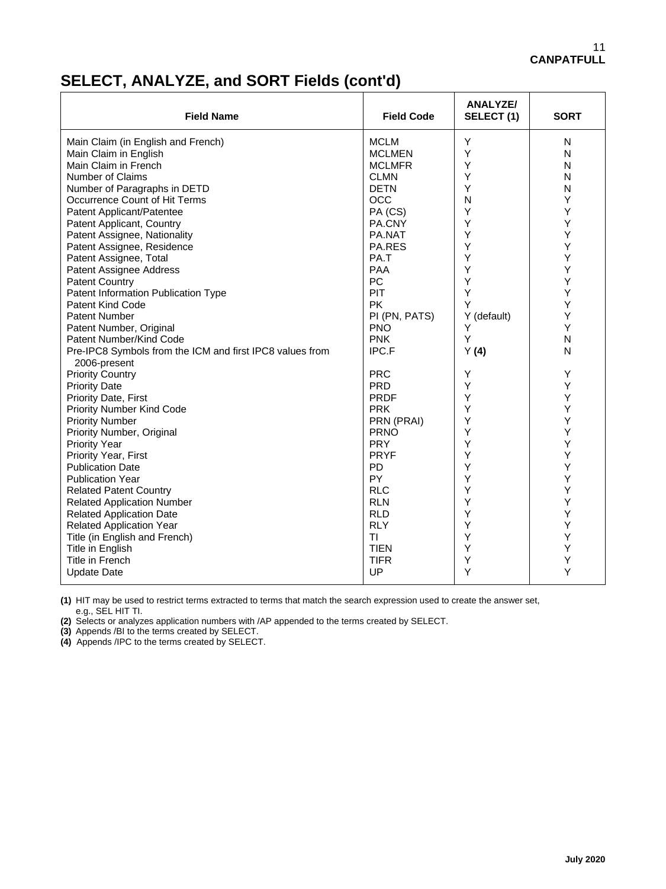## **SELECT, ANALYZE, and SORT Fields (cont'd)**

| <b>Field Name</b>                                                        | <b>Field Code</b> | <b>ANALYZE/</b><br>SELECT(1) | <b>SORT</b> |
|--------------------------------------------------------------------------|-------------------|------------------------------|-------------|
| Main Claim (in English and French)                                       | <b>MCLM</b>       | Y                            | N           |
| Main Claim in English                                                    | <b>MCLMEN</b>     | Y                            | N           |
| Main Claim in French                                                     | <b>MCLMFR</b>     | Y                            | N           |
| Number of Claims                                                         | <b>CLMN</b>       | Y                            | N           |
| Number of Paragraphs in DETD                                             | <b>DETN</b>       | Y                            | N           |
| Occurrence Count of Hit Terms                                            | <b>OCC</b>        | N                            | Y           |
| Patent Applicant/Patentee                                                | PA (CS)           | Y                            | Υ           |
| Patent Applicant, Country                                                | PA.CNY            | Y                            | Υ           |
| Patent Assignee, Nationality                                             | PA.NAT            | Y                            | Y           |
| Patent Assignee, Residence                                               | PA.RES            | Y                            | Υ           |
| Patent Assignee, Total                                                   | PA.T              | Y                            | Υ           |
| Patent Assignee Address                                                  | <b>PAA</b>        | Y                            | Υ           |
| <b>Patent Country</b>                                                    | PC                | Y                            | Υ           |
| Patent Information Publication Type                                      | PIT               | Y                            | Y           |
| <b>Patent Kind Code</b>                                                  | <b>PK</b>         | Y                            | Y           |
| <b>Patent Number</b>                                                     | PI (PN, PATS)     | Y (default)                  | Υ           |
| Patent Number, Original                                                  | <b>PNO</b>        | Y                            | Υ           |
| Patent Number/Kind Code                                                  | <b>PNK</b>        | Y                            | N           |
| Pre-IPC8 Symbols from the ICM and first IPC8 values from<br>2006-present | <b>IPC.F</b>      | Y(4)                         | N           |
| <b>Priority Country</b>                                                  | <b>PRC</b>        | Υ                            | Υ           |
| <b>Priority Date</b>                                                     | <b>PRD</b>        | Y                            | Υ           |
| <b>Priority Date, First</b>                                              | <b>PRDF</b>       | Y                            | Y           |
| Priority Number Kind Code                                                | <b>PRK</b>        | Y                            | Υ           |
| <b>Priority Number</b>                                                   | PRN (PRAI)        | Y                            | Υ           |
| Priority Number, Original                                                | <b>PRNO</b>       | Y                            | Y           |
| <b>Priority Year</b>                                                     | <b>PRY</b>        | Y                            | Υ           |
| <b>Priority Year, First</b>                                              | <b>PRYF</b>       | Y                            | Υ           |
| <b>Publication Date</b>                                                  | <b>PD</b>         | Y                            | Υ           |
| <b>Publication Year</b>                                                  | PY                | Y                            | Υ           |
| <b>Related Patent Country</b>                                            | <b>RLC</b>        | Y                            | Υ           |
| <b>Related Application Number</b>                                        | <b>RLN</b>        | Y                            | Υ           |
| <b>Related Application Date</b>                                          | <b>RLD</b>        | Y                            | Y           |
| <b>Related Application Year</b>                                          | <b>RLY</b>        | Y                            | Υ           |
| Title (in English and French)                                            | TI                | Y                            | Y           |
| Title in English                                                         | <b>TIEN</b>       | Υ                            | Υ           |
| Title in French                                                          | <b>TIFR</b>       | Y                            | Υ           |
| <b>Update Date</b>                                                       | UP                | Y                            | Y           |

**(1)** HIT may be used to restrict terms extracted to terms that match the search expression used to create the answer set, e.g., SEL HIT TI.

**(2)** Selects or analyzes application numbers with /AP appended to the terms created by SELECT.

**(3)** Appends /BI to the terms created by SELECT.

**(4)** Appends /IPC to the terms created by SELECT.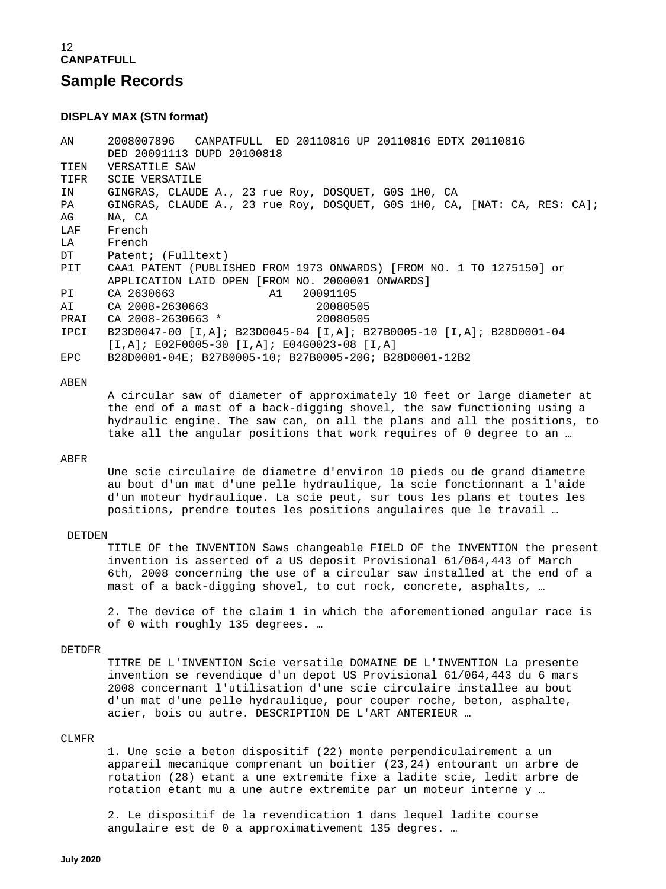### **DISPLAY MAX (STN format)**

AN 2008007896 CANPATFULL ED 20110816 UP 20110816 EDTX 20110816 DED 20091113 DUPD 20100818<br>TIEN VERSATILE SAW TIEN VERSATILE SAW<br>TIFR SCIE VERSATIL TIFR SCIE VERSATILE<br>IN GINGRAS, CLAUD IN GINGRAS, CLAUDE A., 23 rue Roy, DOSQUET, G0S 1H0, CA GINGRAS, CLAUDE A., 23 rue Roy, DOSQUET, GOS 1H0, CA, [NAT: CA, RES: CA]; AG NA, CA LAF French<br>LA French LA French<br>DT Patent DT Patent; (Fulltext)<br>PIT CAA1 PATENT (PUBLI CAA1 PATENT (PUBLISHED FROM 1973 ONWARDS) [FROM NO. 1 TO 1275150] or APPLICATION LAID OPEN [FROM NO. 2000001 ONWARDS]<br>PI CA 2630663 Al 20091105 PI CA 2630663 A1 20091105 CA 2008-2630663<br>CA 2008-2630663 \* 20080505 PRAI CA 2008-2630663 \* IPCI B23D0047-00 [I,A]; B23D0045-04 [I,A]; B27B0005-10 [I,A]; B28D0001-04 [I,A]; E02F0005-30 [I,A]; E04G0023-08 [I,A]<br>EPC B28D0001-04E; B27B0005-10; B27B0005-20G; B2 EPC B28D0001-04E; B27B0005-10; B27B0005-20G; B28D0001-12B2

#### ABEN

 A circular saw of diameter of approximately 10 feet or large diameter at the end of a mast of a back-digging shovel, the saw functioning using a hydraulic engine. The saw can, on all the plans and all the positions, to take all the angular positions that work requires of 0 degree to an …

#### ABFR

 Une scie circulaire de diametre d'environ 10 pieds ou de grand diametre au bout d'un mat d'une pelle hydraulique, la scie fonctionnant a l'aide d'un moteur hydraulique. La scie peut, sur tous les plans et toutes les positions, prendre toutes les positions angulaires que le travail …

#### DETDEN

 TITLE OF the INVENTION Saws changeable FIELD OF the INVENTION the present invention is asserted of a US deposit Provisional 61/064,443 of March 6th, 2008 concerning the use of a circular saw installed at the end of a mast of a back-digging shovel, to cut rock, concrete, asphalts, …

 2. The device of the claim 1 in which the aforementioned angular race is of 0 with roughly 135 degrees. …

#### DETDFR

 TITRE DE L'INVENTION Scie versatile DOMAINE DE L'INVENTION La presente invention se revendique d'un depot US Provisional 61/064,443 du 6 mars 2008 concernant l'utilisation d'une scie circulaire installee au bout d'un mat d'une pelle hydraulique, pour couper roche, beton, asphalte, acier, bois ou autre. DESCRIPTION DE L'ART ANTERIEUR …

#### CLMFR

 1. Une scie a beton dispositif (22) monte perpendiculairement a un appareil mecanique comprenant un boitier (23,24) entourant un arbre de rotation (28) etant a une extremite fixe a ladite scie, ledit arbre de rotation etant mu a une autre extremite par un moteur interne y …

 2. Le dispositif de la revendication 1 dans lequel ladite course angulaire est de 0 a approximativement 135 degres. …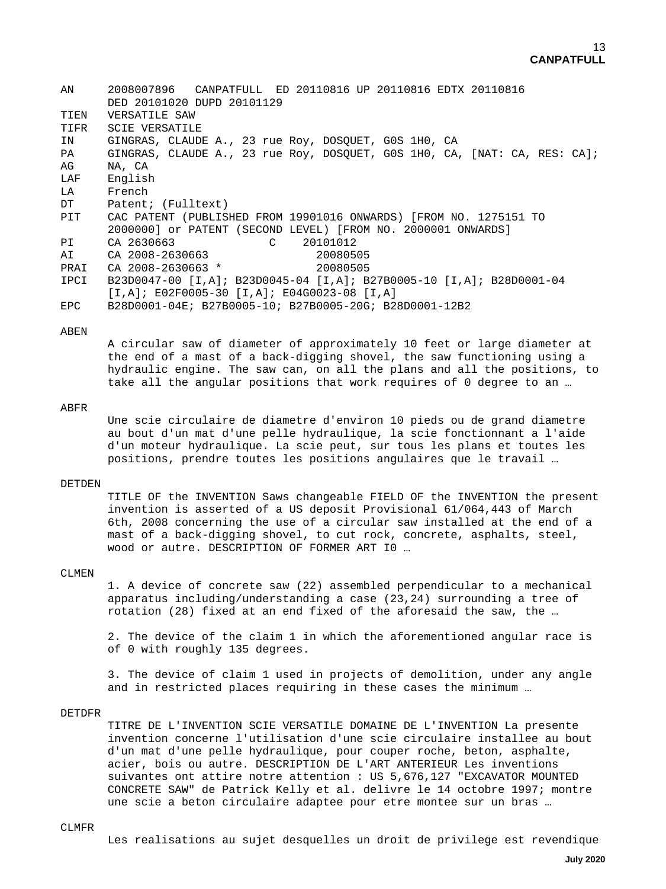| AN   | CANPATFULL ED 20110816 UP 20110816 EDTX 20110816<br>2008007896            |
|------|---------------------------------------------------------------------------|
|      | DED 20101020 DUPD 20101129                                                |
| TIEN | VERSATILE SAW                                                             |
| TIFR | <b>SCIE VERSATILE</b>                                                     |
| IN   | GINGRAS, CLAUDE A., 23 rue Roy, DOSOUET, GOS 1HO, CA                      |
| PA   | GINGRAS, CLAUDE A., 23 rue Roy, DOSQUET, GOS 1HO, CA, [NAT: CA, RES: CA]; |
| AG   | NA, CA                                                                    |
| LAF  | English                                                                   |
| LA   | French                                                                    |
| DT   | Patent; (Fulltext)                                                        |
| PIT  | CAC PATENT (PUBLISHED FROM 19901016 ONWARDS) [FROM NO. 1275151 TO         |
|      | 2000000] or PATENT (SECOND LEVEL) [FROM NO. 2000001 ONWARDS]              |
| PI   | CA 2630663<br>$\mathcal{C}$<br>20101012                                   |
| AI   | CA 2008-2630663<br>20080505                                               |
| PRAI | CA 2008-2630663 *<br>20080505                                             |
| IPCI | B23D0047-00 [I,A]; B23D0045-04 [I,A]; B27B0005-10 [I,A]; B28D0001-04      |
|      | $[I,A]$ ; E02F0005-30 $[I,A]$ ; E04G0023-08 $[I,A]$                       |
| EPC. | B28D0001-04E; B27B0005-10; B27B0005-20G; B28D0001-12B2                    |
|      |                                                                           |

#### ABEN

 A circular saw of diameter of approximately 10 feet or large diameter at the end of a mast of a back-digging shovel, the saw functioning using a hydraulic engine. The saw can, on all the plans and all the positions, to take all the angular positions that work requires of 0 degree to an …

#### ABFR

 Une scie circulaire de diametre d'environ 10 pieds ou de grand diametre au bout d'un mat d'une pelle hydraulique, la scie fonctionnant a l'aide d'un moteur hydraulique. La scie peut, sur tous les plans et toutes les positions, prendre toutes les positions angulaires que le travail …

### DETDEN

 TITLE OF the INVENTION Saws changeable FIELD OF the INVENTION the present invention is asserted of a US deposit Provisional 61/064,443 of March 6th, 2008 concerning the use of a circular saw installed at the end of a mast of a back-digging shovel, to cut rock, concrete, asphalts, steel, wood or autre. DESCRIPTION OF FORMER ART I0 …

### CLMEN

 1. A device of concrete saw (22) assembled perpendicular to a mechanical apparatus including/understanding a case (23,24) surrounding a tree of rotation (28) fixed at an end fixed of the aforesaid the saw, the …

 2. The device of the claim 1 in which the aforementioned angular race is of 0 with roughly 135 degrees.

 3. The device of claim 1 used in projects of demolition, under any angle and in restricted places requiring in these cases the minimum …

#### DETDFR

 TITRE DE L'INVENTION SCIE VERSATILE DOMAINE DE L'INVENTION La presente invention concerne l'utilisation d'une scie circulaire installee au bout d'un mat d'une pelle hydraulique, pour couper roche, beton, asphalte, acier, bois ou autre. DESCRIPTION DE L'ART ANTERIEUR Les inventions suivantes ont attire notre attention : US 5,676,127 "EXCAVATOR MOUNTED CONCRETE SAW" de Patrick Kelly et al. delivre le 14 octobre 1997; montre une scie a beton circulaire adaptee pour etre montee sur un bras …

#### CLMFR

Les realisations au sujet desquelles un droit de privilege est revendique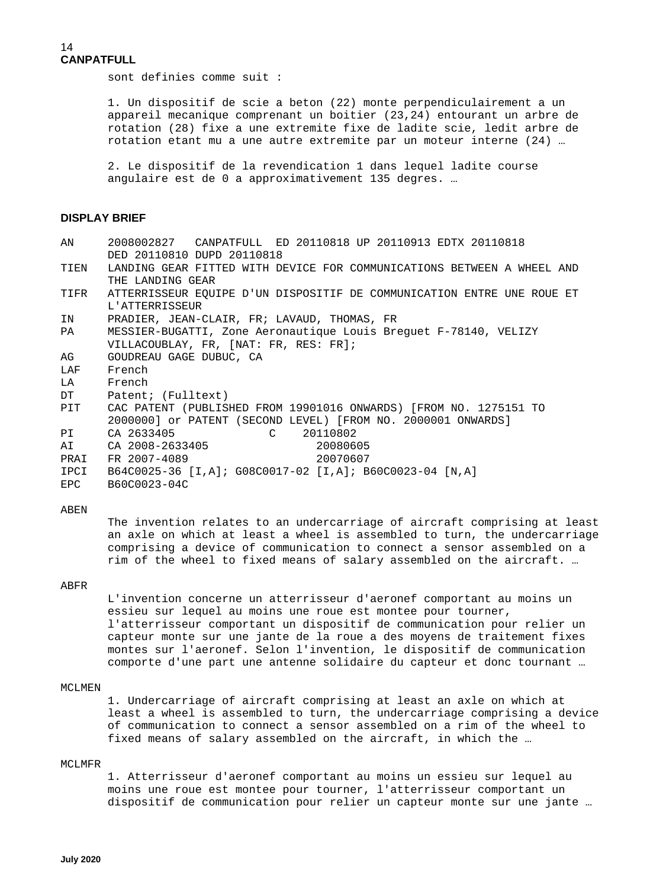### 14 **CANPATFULL**

sont definies comme suit :

 1. Un dispositif de scie a beton (22) monte perpendiculairement a un appareil mecanique comprenant un boitier (23,24) entourant un arbre de rotation (28) fixe a une extremite fixe de ladite scie, ledit arbre de rotation etant mu a une autre extremite par un moteur interne (24) …

 2. Le dispositif de la revendication 1 dans lequel ladite course angulaire est de 0 a approximativement 135 degres. …

### **DISPLAY BRIEF**

| 2008002827 CANPATFULL ED 20110818 UP 20110913 EDTX 20110818            |
|------------------------------------------------------------------------|
| DED 20110810 DUPD 20110818                                             |
| LANDING GEAR FITTED WITH DEVICE FOR COMMUNICATIONS BETWEEN A WHEEL AND |
| THE LANDING GEAR                                                       |
| ATTERRISSEUR EOUIPE D'UN DISPOSITIF DE COMMUNICATION ENTRE UNE ROUE ET |
| L'ATTERRISSEUR                                                         |
| PRADIER, JEAN-CLAIR, FR; LAVAUD, THOMAS, FR                            |
| MESSIER-BUGATTI, Zone Aeronautique Louis Breguet F-78140, VELIZY       |
| VILLACOUBLAY, FR, [NAT: FR, RES: FR];                                  |
| GOUDREAU GAGE DUBUC, CA                                                |
| French                                                                 |
| French                                                                 |
| DT<br>Patent; (Fulltext)                                               |
| CAC PATENT (PUBLISHED FROM 19901016 ONWARDS) [FROM NO. 1275151 TO      |
| 2000000] or PATENT (SECOND LEVEL) [FROM NO. 2000001 ONWARDS]           |
| CA 2633405 C<br>PI <sup>1</sup><br>20110802                            |
| CA 2008-2633405<br>20080605                                            |
| 20070607<br>FR 2007-4089                                               |
|                                                                        |
| B60C0023-04C                                                           |
|                                                                        |

#### ABEN

 The invention relates to an undercarriage of aircraft comprising at least an axle on which at least a wheel is assembled to turn, the undercarriage comprising a device of communication to connect a sensor assembled on a rim of the wheel to fixed means of salary assembled on the aircraft. …

### ABFR

 L'invention concerne un atterrisseur d'aeronef comportant au moins un essieu sur lequel au moins une roue est montee pour tourner, l'atterrisseur comportant un dispositif de communication pour relier un capteur monte sur une jante de la roue a des moyens de traitement fixes montes sur l'aeronef. Selon l'invention, le dispositif de communication comporte d'une part une antenne solidaire du capteur et donc tournant …

#### MCLMEN

 1. Undercarriage of aircraft comprising at least an axle on which at least a wheel is assembled to turn, the undercarriage comprising a device of communication to connect a sensor assembled on a rim of the wheel to fixed means of salary assembled on the aircraft, in which the …

#### MCLMFR

 1. Atterrisseur d'aeronef comportant au moins un essieu sur lequel au moins une roue est montee pour tourner, l'atterrisseur comportant un dispositif de communication pour relier un capteur monte sur une jante …